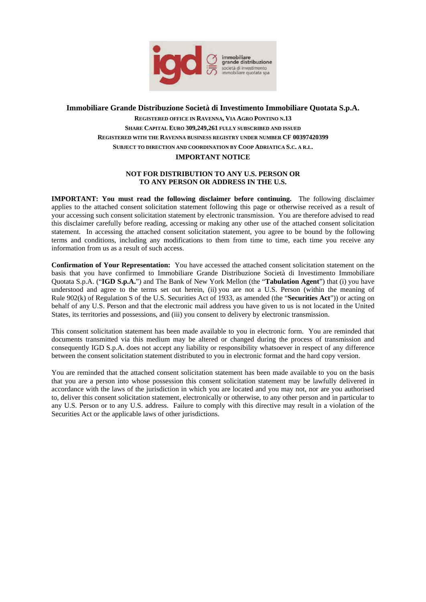

# **Immobiliare Grande Distribuzione Società di Investimento Immobiliare Quotata S.p.A.**

**REGISTERED OFFICE IN RAVENNA, VIA AGRO PONTINO N.13 SHARE CAPITAL EURO 309,249,261 FULLY SUBSCRIBED AND ISSUED REGISTERED WITH THE RAVENNA BUSINESS REGISTRY UNDER NUMBER CF 00397420399 SUBJECT TO DIRECTION AND COORDINATION BY COOP ADRIATICA S.C. A R.L. IMPORTANT NOTICE** 

# **NOT FOR DISTRIBUTION TO ANY U.S. PERSON OR TO ANY PERSON OR ADDRESS IN THE U.S.**

**IMPORTANT: You must read the following disclaimer before continuing.** The following disclaimer applies to the attached consent solicitation statement following this page or otherwise received as a result of your accessing such consent solicitation statement by electronic transmission. You are therefore advised to read this disclaimer carefully before reading, accessing or making any other use of the attached consent solicitation statement. In accessing the attached consent solicitation statement, you agree to be bound by the following terms and conditions, including any modifications to them from time to time, each time you receive any information from us as a result of such access.

**Confirmation of Your Representation:** You have accessed the attached consent solicitation statement on the basis that you have confirmed to Immobiliare Grande Distribuzione Società di Investimento Immobiliare Quotata S.p.A. ("**IGD S.p.A.**") and The Bank of New York Mellon (the "**Tabulation Agent**") that (i) you have understood and agree to the terms set out herein, (ii) you are not a U.S. Person (within the meaning of Rule 902(k) of Regulation S of the U.S. Securities Act of 1933, as amended (the "**Securities Act**")) or acting on behalf of any U.S. Person and that the electronic mail address you have given to us is not located in the United States, its territories and possessions, and (iii) you consent to delivery by electronic transmission.

This consent solicitation statement has been made available to you in electronic form. You are reminded that documents transmitted via this medium may be altered or changed during the process of transmission and consequently IGD S.p.A. does not accept any liability or responsibility whatsoever in respect of any difference between the consent solicitation statement distributed to you in electronic format and the hard copy version.

You are reminded that the attached consent solicitation statement has been made available to you on the basis that you are a person into whose possession this consent solicitation statement may be lawfully delivered in accordance with the laws of the jurisdiction in which you are located and you may not, nor are you authorised to, deliver this consent solicitation statement, electronically or otherwise, to any other person and in particular to any U.S. Person or to any U.S. address. Failure to comply with this directive may result in a violation of the Securities Act or the applicable laws of other jurisdictions.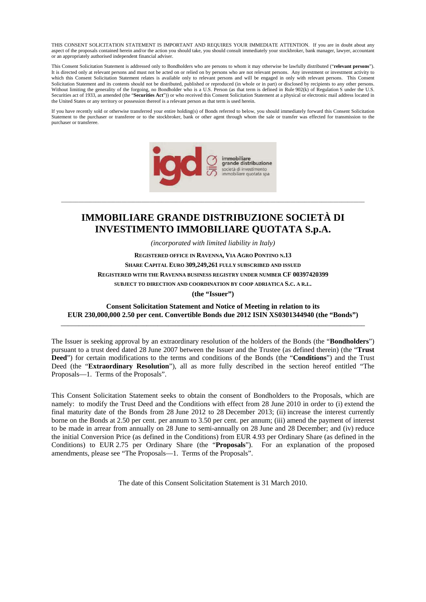THIS CONSENT SOLICITATION STATEMENT IS IMPORTANT AND REQUIRES YOUR IMMEDIATE ATTENTION. If you are in doubt about any aspect of the proposals contained herein and/or the action you should take, you should consult immediately your stockbroker, bank manager, lawyer, accountant or an appropriately authorised independent financial adviser.

This Consent Solicitation Statement is addressed only to Bondholders who are persons to whom it may otherwise be lawfully distributed ("**relevant persons**"). It is directed only at relevant persons and must not be acted on or relied on by persons who are not relevant persons. Any investment or investment activity to which this Consent Solicitation Statement relates is available only to relevant persons and will be engaged in only with relevant persons. This Consent Solicitation Statement and its contents should not be distributed, published or reproduced (in whole or in part) or disclosed by recipients to any other persons. Without limiting the generality of the forgoing, no Bondholder who is a U.S. Person (as that term is defined in Rule 902(k) of Regulation S under the U.S. Securities act of 1933, as amended (the "**Securities Act**")) or who received this Consent Solicitation Statement at a physical or electronic mail address located in the United States or any territory or possession thereof is a relevant person as that term is used herein.

If you have recently sold or otherwise transferred your entire holding(s) of Bonds referred to below, you should immediately forward this Consent Solicitation Statement to the purchaser or transferee or to the stockbroker, bank or other agent through whom the sale or transfer was effected for transmission to the purchaser or transferee.



# **IMMOBILIARE GRANDE DISTRIBUZIONE SOCIETÀ DI INVESTIMENTO IMMOBILIARE QUOTATA S.p.A.**

\_\_\_\_\_\_\_\_\_\_\_\_\_\_\_\_\_\_\_\_\_\_\_\_\_\_\_\_\_\_\_\_\_\_\_\_\_\_\_\_\_\_\_\_\_\_\_\_\_\_\_\_\_\_\_\_\_\_\_\_\_\_\_\_\_\_\_\_\_\_\_\_\_\_\_\_\_\_\_\_\_\_\_\_\_\_\_\_\_\_\_\_\_\_\_\_\_\_\_\_\_\_\_\_\_\_

*(incorporated with limited liability in Italy)* 

**REGISTERED OFFICE IN RAVENNA, VIA AGRO PONTINO N.13 SHARE CAPITAL EURO 309,249,261 FULLY SUBSCRIBED AND ISSUED REGISTERED WITH THE RAVENNA BUSINESS REGISTRY UNDER NUMBER CF 00397420399 SUBJECT TO DIRECTION AND COORDINATION BY COOP ADRIATICA S.C. A R.L.** 

**(the "Issuer")** 

**Consent Solicitation Statement and Notice of Meeting in relation to its EUR 230,000,000 2.50 per cent. Convertible Bonds due 2012 ISIN XS0301344940 (the "Bonds")**  \_\_\_\_\_\_\_\_\_\_\_\_\_\_\_\_\_\_\_\_\_\_\_\_\_\_\_\_\_\_\_\_\_\_\_\_\_\_\_\_\_\_\_\_\_\_\_\_\_\_\_\_\_\_\_\_\_\_\_\_\_\_\_\_\_\_\_\_\_\_\_\_\_\_\_\_\_\_\_\_\_\_\_\_\_

The Issuer is seeking approval by an extraordinary resolution of the holders of the Bonds (the "**Bondholders**") pursuant to a trust deed dated 28 June 2007 between the Issuer and the Trustee (as defined therein) (the "**Trust Deed**") for certain modifications to the terms and conditions of the Bonds (the "**Conditions**") and the Trust Deed (the "**Extraordinary Resolution**"), all as more fully described in the section hereof entitled "The Proposals—1. Terms of the Proposals".

This Consent Solicitation Statement seeks to obtain the consent of Bondholders to the Proposals, which are namely: to modify the Trust Deed and the Conditions with effect from 28 June 2010 in order to (i) extend the final maturity date of the Bonds from 28 June 2012 to 28 December 2013; (ii) increase the interest currently borne on the Bonds at 2.50 per cent. per annum to 3.50 per cent. per annum; (iii) amend the payment of interest to be made in arrear from annually on 28 June to semi-annually on 28 June and 28 December; and (iv) reduce the initial Conversion Price (as defined in the Conditions) from EUR 4.93 per Ordinary Share (as defined in the Conditions) to EUR 2.75 per Ordinary Share (the "**Proposals**"). For an explanation of the proposed amendments, please see "The Proposals—1. Terms of the Proposals".

The date of this Consent Solicitation Statement is 31 March 2010.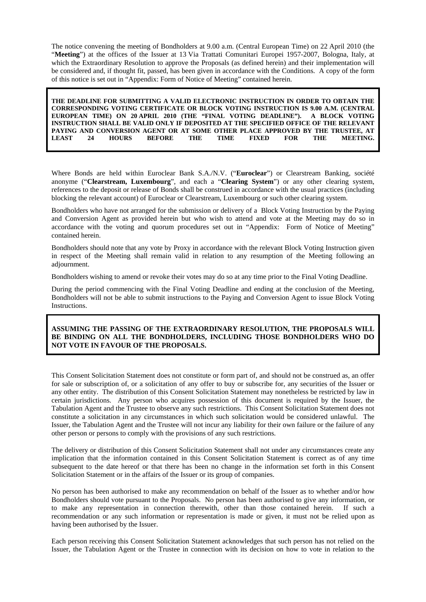The notice convening the meeting of Bondholders at 9.00 a.m. (Central European Time) on 22 April 2010 (the "**Meeting**") at the offices of the Issuer at 13 Via Trattati Comunitari Europei 1957-2007, Bologna, Italy, at which the Extraordinary Resolution to approve the Proposals (as defined herein) and their implementation will be considered and, if thought fit, passed, has been given in accordance with the Conditions. A copy of the form of this notice is set out in "Appendix: Form of Notice of Meeting" contained herein.

**THE DEADLINE FOR SUBMITTING A VALID ELECTRONIC INSTRUCTION IN ORDER TO OBTAIN THE CORRESPONDING VOTING CERTIFICATE OR BLOCK VOTING INSTRUCTION IS 9.00 A.M. (CENTRAL EUROPEAN TIME) ON 20 APRIL 2010 (THE "FINAL VOTING DEADLINE"). A BLOCK VOTING INSTRUCTION SHALL BE VALID ONLY IF DEPOSITED AT THE SPECIFIED OFFICE OF THE RELEVANT PAYING AND CONVERSION AGENT OR AT SOME OTHER PLACE APPROVED BY THE TRUSTEE, AT LEAST 24 HOURS BEFORE THE TIME FIXED FOR THE MEETING.** 

Where Bonds are held within Euroclear Bank S.A./N.V. ("**Euroclear**") or Clearstream Banking, société anonyme ("**Clearstream, Luxembourg**", and each a "**Clearing System**") or any other clearing system, references to the deposit or release of Bonds shall be construed in accordance with the usual practices (including blocking the relevant account) of Euroclear or Clearstream, Luxembourg or such other clearing system.

Bondholders who have not arranged for the submission or delivery of a Block Voting Instruction by the Paying and Conversion Agent as provided herein but who wish to attend and vote at the Meeting may do so in accordance with the voting and quorum procedures set out in "Appendix: Form of Notice of Meeting" contained herein.

Bondholders should note that any vote by Proxy in accordance with the relevant Block Voting Instruction given in respect of the Meeting shall remain valid in relation to any resumption of the Meeting following an adjournment.

Bondholders wishing to amend or revoke their votes may do so at any time prior to the Final Voting Deadline.

During the period commencing with the Final Voting Deadline and ending at the conclusion of the Meeting, Bondholders will not be able to submit instructions to the Paying and Conversion Agent to issue Block Voting Instructions.

## **ASSUMING THE PASSING OF THE EXTRAORDINARY RESOLUTION, THE PROPOSALS WILL BE BINDING ON ALL THE BONDHOLDERS, INCLUDING THOSE BONDHOLDERS WHO DO NOT VOTE IN FAVOUR OF THE PROPOSALS.**

This Consent Solicitation Statement does not constitute or form part of, and should not be construed as, an offer for sale or subscription of, or a solicitation of any offer to buy or subscribe for, any securities of the Issuer or any other entity. The distribution of this Consent Solicitation Statement may nonetheless be restricted by law in certain jurisdictions. Any person who acquires possession of this document is required by the Issuer, the Tabulation Agent and the Trustee to observe any such restrictions. This Consent Solicitation Statement does not constitute a solicitation in any circumstances in which such solicitation would be considered unlawful. The Issuer, the Tabulation Agent and the Trustee will not incur any liability for their own failure or the failure of any other person or persons to comply with the provisions of any such restrictions.

The delivery or distribution of this Consent Solicitation Statement shall not under any circumstances create any implication that the information contained in this Consent Solicitation Statement is correct as of any time subsequent to the date hereof or that there has been no change in the information set forth in this Consent Solicitation Statement or in the affairs of the Issuer or its group of companies.

No person has been authorised to make any recommendation on behalf of the Issuer as to whether and/or how Bondholders should vote pursuant to the Proposals. No person has been authorised to give any information, or to make any representation in connection therewith, other than those contained herein. If such a recommendation or any such information or representation is made or given, it must not be relied upon as having been authorised by the Issuer.

Each person receiving this Consent Solicitation Statement acknowledges that such person has not relied on the Issuer, the Tabulation Agent or the Trustee in connection with its decision on how to vote in relation to the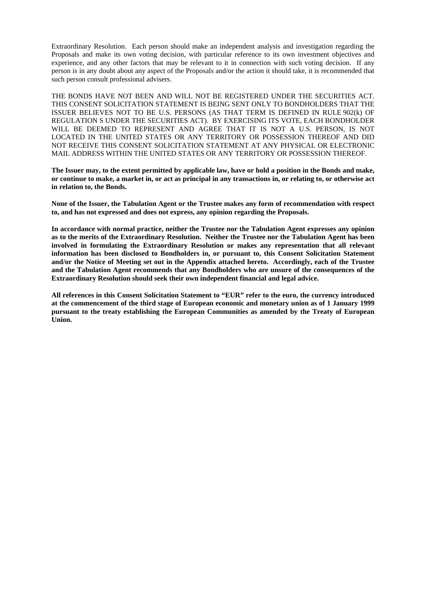Extraordinary Resolution. Each person should make an independent analysis and investigation regarding the Proposals and make its own voting decision, with particular reference to its own investment objectives and experience, and any other factors that may be relevant to it in connection with such voting decision. If any person is in any doubt about any aspect of the Proposals and/or the action it should take, it is recommended that such person consult professional advisers.

THE BONDS HAVE NOT BEEN AND WILL NOT BE REGISTERED UNDER THE SECURITIES ACT. THIS CONSENT SOLICITATION STATEMENT IS BEING SENT ONLY TO BONDHOLDERS THAT THE ISSUER BELIEVES NOT TO BE U.S. PERSONS (AS THAT TERM IS DEFINED IN RULE 902(k) OF REGULATION S UNDER THE SECURITIES ACT). BY EXERCISING ITS VOTE, EACH BONDHOLDER WILL BE DEEMED TO REPRESENT AND AGREE THAT IT IS NOT A U.S. PERSON, IS NOT LOCATED IN THE UNITED STATES OR ANY TERRITORY OR POSSESSION THEREOF AND DID NOT RECEIVE THIS CONSENT SOLICITATION STATEMENT AT ANY PHYSICAL OR ELECTRONIC MAIL ADDRESS WITHIN THE UNITED STATES OR ANY TERRITORY OR POSSESSION THEREOF.

**The Issuer may, to the extent permitted by applicable law, have or hold a position in the Bonds and make, or continue to make, a market in, or act as principal in any transactions in, or relating to, or otherwise act in relation to, the Bonds.** 

**None of the Issuer, the Tabulation Agent or the Trustee makes any form of recommendation with respect to, and has not expressed and does not express, any opinion regarding the Proposals.** 

**In accordance with normal practice, neither the Trustee nor the Tabulation Agent expresses any opinion as to the merits of the Extraordinary Resolution. Neither the Trustee nor the Tabulation Agent has been involved in formulating the Extraordinary Resolution or makes any representation that all relevant information has been disclosed to Bondholders in, or pursuant to, this Consent Solicitation Statement and/or the Notice of Meeting set out in the Appendix attached hereto. Accordingly, each of the Trustee and the Tabulation Agent recommends that any Bondholders who are unsure of the consequences of the Extraordinary Resolution should seek their own independent financial and legal advice.** 

**All references in this Consent Solicitation Statement to "EUR" refer to the euro, the currency introduced at the commencement of the third stage of European economic and monetary union as of 1 January 1999 pursuant to the treaty establishing the European Communities as amended by the Treaty of European Union.**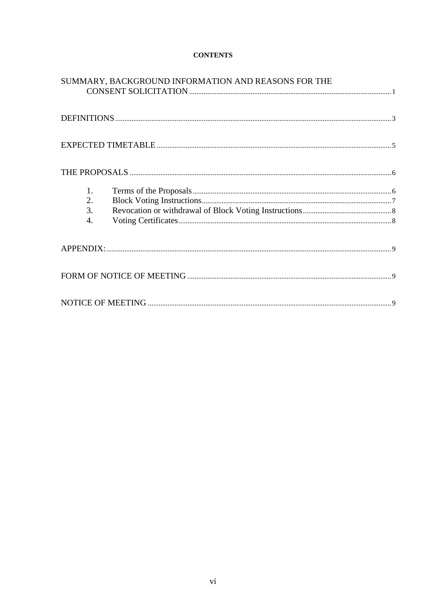# **CONTENTS**

|    | SUMMARY, BACKGROUND INFORMATION AND REASONS FOR THE |  |
|----|-----------------------------------------------------|--|
|    |                                                     |  |
|    |                                                     |  |
|    |                                                     |  |
| 1. |                                                     |  |
| 2. |                                                     |  |
| 3. |                                                     |  |
| 4. |                                                     |  |
|    |                                                     |  |
|    |                                                     |  |
|    |                                                     |  |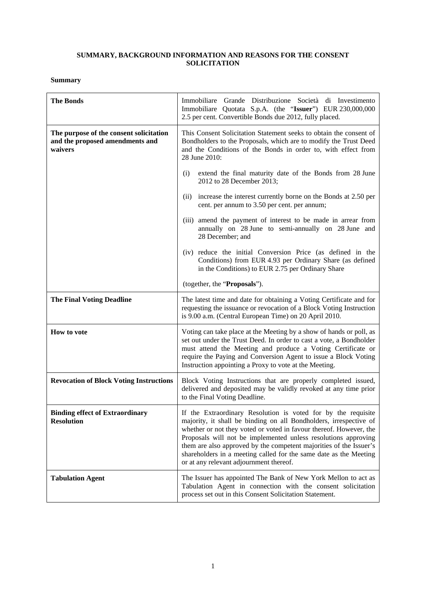# **SUMMARY, BACKGROUND INFORMATION AND REASONS FOR THE CONSENT SOLICITATION**

# **Summary**

| <b>The Bonds</b>                                                                      | Immobiliare Grande Distribuzione Società di Investimento<br>Immobiliare Quotata S.p.A. (the "Issuer") EUR 230,000,000<br>2.5 per cent. Convertible Bonds due 2012, fully placed.                                                                                                                                                                                                                                                                                 |  |
|---------------------------------------------------------------------------------------|------------------------------------------------------------------------------------------------------------------------------------------------------------------------------------------------------------------------------------------------------------------------------------------------------------------------------------------------------------------------------------------------------------------------------------------------------------------|--|
| The purpose of the consent solicitation<br>and the proposed amendments and<br>waivers | This Consent Solicitation Statement seeks to obtain the consent of<br>Bondholders to the Proposals, which are to modify the Trust Deed<br>and the Conditions of the Bonds in order to, with effect from<br>28 June 2010:                                                                                                                                                                                                                                         |  |
|                                                                                       | extend the final maturity date of the Bonds from 28 June<br>(i)<br>2012 to 28 December 2013;                                                                                                                                                                                                                                                                                                                                                                     |  |
|                                                                                       | increase the interest currently borne on the Bonds at 2.50 per<br>(i)<br>cent. per annum to 3.50 per cent. per annum;                                                                                                                                                                                                                                                                                                                                            |  |
|                                                                                       | (iii) amend the payment of interest to be made in arrear from<br>annually on 28 June to semi-annually on 28 June and<br>28 December; and                                                                                                                                                                                                                                                                                                                         |  |
|                                                                                       | (iv) reduce the initial Conversion Price (as defined in the<br>Conditions) from EUR 4.93 per Ordinary Share (as defined<br>in the Conditions) to EUR 2.75 per Ordinary Share                                                                                                                                                                                                                                                                                     |  |
|                                                                                       | (together, the "Proposals").                                                                                                                                                                                                                                                                                                                                                                                                                                     |  |
| <b>The Final Voting Deadline</b>                                                      | The latest time and date for obtaining a Voting Certificate and for<br>requesting the issuance or revocation of a Block Voting Instruction<br>is 9.00 a.m. (Central European Time) on 20 April 2010.                                                                                                                                                                                                                                                             |  |
| How to vote                                                                           | Voting can take place at the Meeting by a show of hands or poll, as<br>set out under the Trust Deed. In order to cast a vote, a Bondholder<br>must attend the Meeting and produce a Voting Certificate or<br>require the Paying and Conversion Agent to issue a Block Voting<br>Instruction appointing a Proxy to vote at the Meeting.                                                                                                                           |  |
| <b>Revocation of Block Voting Instructions</b>                                        | Block Voting Instructions that are properly completed issued,<br>delivered and deposited may be validly revoked at any time prior<br>to the Final Voting Deadline.                                                                                                                                                                                                                                                                                               |  |
| <b>Binding effect of Extraordinary</b><br><b>Resolution</b>                           | If the Extraordinary Resolution is voted for by the requisite<br>majority, it shall be binding on all Bondholders, irrespective of<br>whether or not they voted or voted in favour thereof. However, the<br>Proposals will not be implemented unless resolutions approving<br>them are also approved by the competent majorities of the Issuer's<br>shareholders in a meeting called for the same date as the Meeting<br>or at any relevant adjournment thereof. |  |
| <b>Tabulation Agent</b>                                                               | The Issuer has appointed The Bank of New York Mellon to act as<br>Tabulation Agent in connection with the consent solicitation<br>process set out in this Consent Solicitation Statement.                                                                                                                                                                                                                                                                        |  |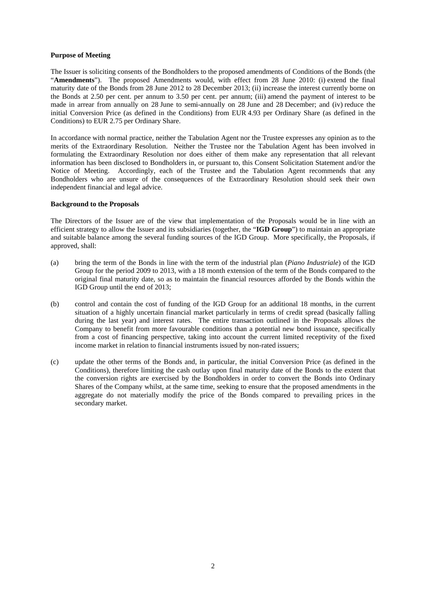#### **Purpose of Meeting**

The Issuer is soliciting consents of the Bondholders to the proposed amendments of Conditions of the Bonds (the "**Amendments**"). The proposed Amendments would, with effect from 28 June 2010: (i) extend the final maturity date of the Bonds from 28 June 2012 to 28 December 2013; (ii) increase the interest currently borne on the Bonds at 2.50 per cent. per annum to 3.50 per cent. per annum; (iii) amend the payment of interest to be made in arrear from annually on 28 June to semi-annually on 28 June and 28 December; and (iv) reduce the initial Conversion Price (as defined in the Conditions) from EUR 4.93 per Ordinary Share (as defined in the Conditions) to EUR 2.75 per Ordinary Share.

In accordance with normal practice, neither the Tabulation Agent nor the Trustee expresses any opinion as to the merits of the Extraordinary Resolution. Neither the Trustee nor the Tabulation Agent has been involved in formulating the Extraordinary Resolution nor does either of them make any representation that all relevant information has been disclosed to Bondholders in, or pursuant to, this Consent Solicitation Statement and/or the Notice of Meeting. Accordingly, each of the Trustee and the Tabulation Agent recommends that any Bondholders who are unsure of the consequences of the Extraordinary Resolution should seek their own independent financial and legal advice.

### **Background to the Proposals**

The Directors of the Issuer are of the view that implementation of the Proposals would be in line with an efficient strategy to allow the Issuer and its subsidiaries (together, the "**IGD Group**") to maintain an appropriate and suitable balance among the several funding sources of the IGD Group. More specifically, the Proposals, if approved, shall:

- (a) bring the term of the Bonds in line with the term of the industrial plan (*Piano Industriale*) of the IGD Group for the period 2009 to 2013, with a 18 month extension of the term of the Bonds compared to the original final maturity date, so as to maintain the financial resources afforded by the Bonds within the IGD Group until the end of 2013;
- (b) control and contain the cost of funding of the IGD Group for an additional 18 months, in the current situation of a highly uncertain financial market particularly in terms of credit spread (basically falling during the last year) and interest rates. The entire transaction outlined in the Proposals allows the Company to benefit from more favourable conditions than a potential new bond issuance, specifically from a cost of financing perspective, taking into account the current limited receptivity of the fixed income market in relation to financial instruments issued by non-rated issuers;
- (c) update the other terms of the Bonds and, in particular, the initial Conversion Price (as defined in the Conditions), therefore limiting the cash outlay upon final maturity date of the Bonds to the extent that the conversion rights are exercised by the Bondholders in order to convert the Bonds into Ordinary Shares of the Company whilst, at the same time, seeking to ensure that the proposed amendments in the aggregate do not materially modify the price of the Bonds compared to prevailing prices in the secondary market.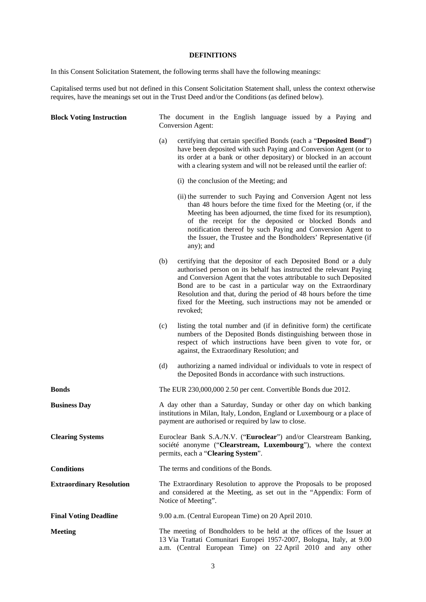# **DEFINITIONS**

In this Consent Solicitation Statement, the following terms shall have the following meanings:

Capitalised terms used but not defined in this Consent Solicitation Statement shall, unless the context otherwise requires, have the meanings set out in the Trust Deed and/or the Conditions (as defined below).

| <b>Block Voting Instruction</b> | The document in the English language issued by a Paying and<br>Conversion Agent:                                                                                                                                                                                                                                                                                                                                                      |  |
|---------------------------------|---------------------------------------------------------------------------------------------------------------------------------------------------------------------------------------------------------------------------------------------------------------------------------------------------------------------------------------------------------------------------------------------------------------------------------------|--|
|                                 | certifying that certain specified Bonds (each a "Deposited Bond")<br>(a)<br>have been deposited with such Paying and Conversion Agent (or to<br>its order at a bank or other depositary) or blocked in an account<br>with a clearing system and will not be released until the earlier of:                                                                                                                                            |  |
|                                 | (i) the conclusion of the Meeting; and                                                                                                                                                                                                                                                                                                                                                                                                |  |
|                                 | (ii) the surrender to such Paying and Conversion Agent not less<br>than 48 hours before the time fixed for the Meeting (or, if the<br>Meeting has been adjourned, the time fixed for its resumption),<br>of the receipt for the deposited or blocked Bonds and<br>notification thereof by such Paying and Conversion Agent to<br>the Issuer, the Trustee and the Bondholders' Representative (if<br>any); and                         |  |
|                                 | (b)<br>certifying that the depositor of each Deposited Bond or a duly<br>authorised person on its behalf has instructed the relevant Paying<br>and Conversion Agent that the votes attributable to such Deposited<br>Bond are to be cast in a particular way on the Extraordinary<br>Resolution and that, during the period of 48 hours before the time<br>fixed for the Meeting, such instructions may not be amended or<br>revoked; |  |
|                                 | (c)<br>listing the total number and (if in definitive form) the certificate<br>numbers of the Deposited Bonds distinguishing between those in<br>respect of which instructions have been given to vote for, or<br>against, the Extraordinary Resolution; and                                                                                                                                                                          |  |
|                                 | (d)<br>authorizing a named individual or individuals to vote in respect of<br>the Deposited Bonds in accordance with such instructions.                                                                                                                                                                                                                                                                                               |  |
| <b>Bonds</b>                    | The EUR 230,000,000 2.50 per cent. Convertible Bonds due 2012.                                                                                                                                                                                                                                                                                                                                                                        |  |
| <b>Business Day</b>             | A day other than a Saturday, Sunday or other day on which banking<br>institutions in Milan, Italy, London, England or Luxembourg or a place of<br>payment are authorised or required by law to close.                                                                                                                                                                                                                                 |  |
| <b>Clearing Systems</b>         | Euroclear Bank S.A./N.V. ("Euroclear") and/or Clearstream Banking,<br>société anonyme ("Clearstream, Luxembourg"), where the context<br>permits, each a "Clearing System".                                                                                                                                                                                                                                                            |  |
| <b>Conditions</b>               | The terms and conditions of the Bonds.                                                                                                                                                                                                                                                                                                                                                                                                |  |
| <b>Extraordinary Resolution</b> | The Extraordinary Resolution to approve the Proposals to be proposed<br>and considered at the Meeting, as set out in the "Appendix: Form of<br>Notice of Meeting".                                                                                                                                                                                                                                                                    |  |
| <b>Final Voting Deadline</b>    | 9.00 a.m. (Central European Time) on 20 April 2010.                                                                                                                                                                                                                                                                                                                                                                                   |  |
| <b>Meeting</b>                  | The meeting of Bondholders to be held at the offices of the Issuer at<br>13 Via Trattati Comunitari Europei 1957-2007, Bologna, Italy, at 9.00<br>a.m. (Central European Time) on 22 April 2010 and any other                                                                                                                                                                                                                         |  |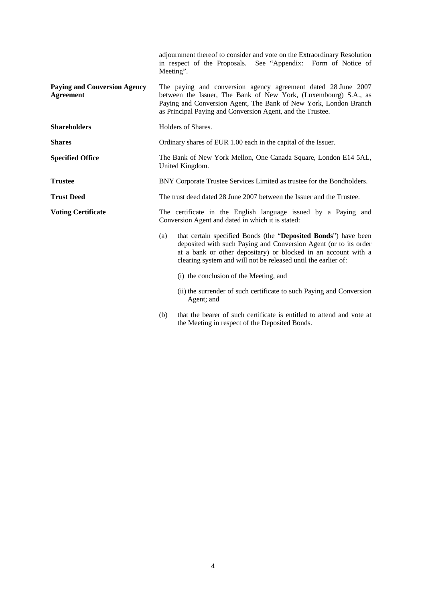|                                                  | adjournment thereof to consider and vote on the Extraordinary Resolution<br>in respect of the Proposals.<br>See "Appendix: Form of Notice of<br>Meeting".                                                                                                                     |  |
|--------------------------------------------------|-------------------------------------------------------------------------------------------------------------------------------------------------------------------------------------------------------------------------------------------------------------------------------|--|
| <b>Paying and Conversion Agency</b><br>Agreement | The paying and conversion agency agreement dated 28 June 2007<br>between the Issuer, The Bank of New York, (Luxembourg) S.A., as<br>Paying and Conversion Agent, The Bank of New York, London Branch<br>as Principal Paying and Conversion Agent, and the Trustee.            |  |
| <b>Shareholders</b>                              | Holders of Shares.                                                                                                                                                                                                                                                            |  |
| <b>Shares</b>                                    | Ordinary shares of EUR 1.00 each in the capital of the Issuer.                                                                                                                                                                                                                |  |
| <b>Specified Office</b>                          | The Bank of New York Mellon, One Canada Square, London E14 5AL,<br>United Kingdom.                                                                                                                                                                                            |  |
| <b>Trustee</b>                                   | BNY Corporate Trustee Services Limited as trustee for the Bondholders.                                                                                                                                                                                                        |  |
| <b>Trust Deed</b>                                | The trust deed dated 28 June 2007 between the Issuer and the Trustee.                                                                                                                                                                                                         |  |
| <b>Voting Certificate</b>                        | The certificate in the English language issued by a Paying and<br>Conversion Agent and dated in which it is stated:                                                                                                                                                           |  |
|                                                  | that certain specified Bonds (the "Deposited Bonds") have been<br>(a)<br>deposited with such Paying and Conversion Agent (or to its order<br>at a bank or other depositary) or blocked in an account with a<br>clearing system and will not be released until the earlier of: |  |
|                                                  | (i) the conclusion of the Meeting, and                                                                                                                                                                                                                                        |  |
|                                                  | (ii) the surrender of such certificate to such Paying and Conversion<br>Agent; and                                                                                                                                                                                            |  |
|                                                  | that the bearer of such certificate is entitled to attend and vote at<br>(b)<br>the Meeting in respect of the Deposited Bonds.                                                                                                                                                |  |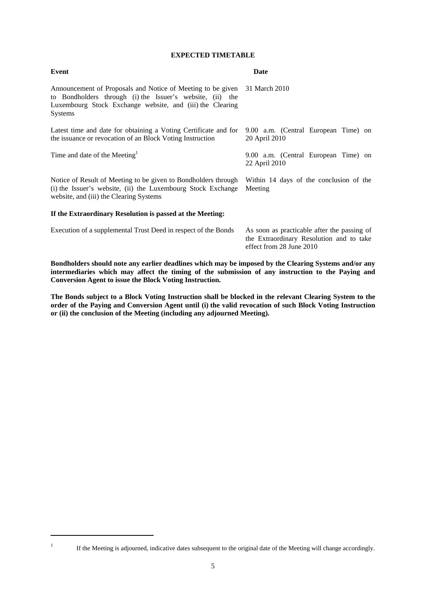#### **EXPECTED TIMETABLE**

| Event                                                                                                                                                                                                   | Date                                                  |  |  |  |
|---------------------------------------------------------------------------------------------------------------------------------------------------------------------------------------------------------|-------------------------------------------------------|--|--|--|
| Announcement of Proposals and Notice of Meeting to be given<br>to Bondholders through (i) the Issuer's website, (ii) the<br>Luxembourg Stock Exchange website, and (iii) the Clearing<br><b>Systems</b> | 31 March 2010                                         |  |  |  |
| Latest time and date for obtaining a Voting Certificate and for<br>the issuance or revocation of an Block Voting Instruction                                                                            | 9.00 a.m. (Central European Time) on<br>20 April 2010 |  |  |  |
| Time and date of the Meeting <sup>1</sup>                                                                                                                                                               | 9.00 a.m. (Central European Time) on<br>22 April 2010 |  |  |  |
| Notice of Result of Meeting to be given to Bondholders through<br>(i) the Issuer's website, (ii) the Luxembourg Stock Exchange<br>website, and (iii) the Clearing Systems                               | Within 14 days of the conclusion of the<br>Meeting    |  |  |  |
| If the Extraordinary Resolution is passed at the Meeting:                                                                                                                                               |                                                       |  |  |  |

Execution of a supplemental Trust Deed in respect of the Bonds As soon as practicable after the passing of the Extraordinary Resolution and to take effect from 28 June 2010

**Bondholders should note any earlier deadlines which may be imposed by the Clearing Systems and/or any intermediaries which may affect the timing of the submission of any instruction to the Paying and Conversion Agent to issue the Block Voting Instruction.** 

**The Bonds subject to a Block Voting Instruction shall be blocked in the relevant Clearing System to the order of the Paying and Conversion Agent until (i) the valid revocation of such Block Voting Instruction or (ii) the conclusion of the Meeting (including any adjourned Meeting).** 

 1

If the Meeting is adjourned, indicative dates subsequent to the original date of the Meeting will change accordingly.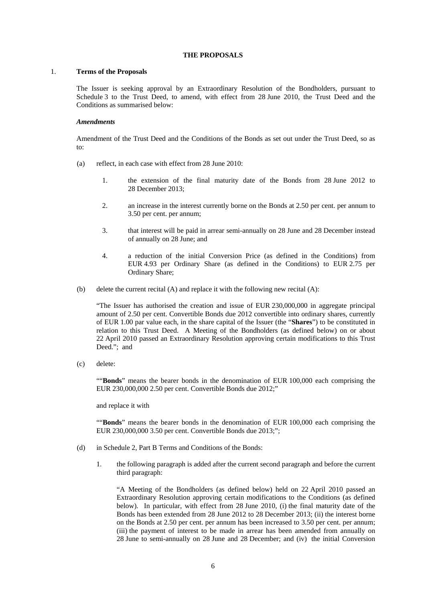#### **THE PROPOSALS**

#### 1. **Terms of the Proposals**

The Issuer is seeking approval by an Extraordinary Resolution of the Bondholders, pursuant to Schedule 3 to the Trust Deed, to amend, with effect from 28 June 2010, the Trust Deed and the Conditions as summarised below:

#### *Amendments*

Amendment of the Trust Deed and the Conditions of the Bonds as set out under the Trust Deed, so as to:

- (a) reflect, in each case with effect from 28 June 2010:
	- 1. the extension of the final maturity date of the Bonds from 28 June 2012 to 28 December 2013;
	- 2. an increase in the interest currently borne on the Bonds at 2.50 per cent. per annum to 3.50 per cent. per annum;
	- 3. that interest will be paid in arrear semi-annually on 28 June and 28 December instead of annually on 28 June; and
	- 4. a reduction of the initial Conversion Price (as defined in the Conditions) from EUR 4.93 per Ordinary Share (as defined in the Conditions) to EUR 2.75 per Ordinary Share;
- (b) delete the current recital (A) and replace it with the following new recital (A):

"The Issuer has authorised the creation and issue of EUR 230,000,000 in aggregate principal amount of 2.50 per cent. Convertible Bonds due 2012 convertible into ordinary shares, currently of EUR 1.00 par value each, in the share capital of the Issuer (the "**Shares**") to be constituted in relation to this Trust Deed. A Meeting of the Bondholders (as defined below) on or about 22 April 2010 passed an Extraordinary Resolution approving certain modifications to this Trust Deed."; and

(c) delete:

""**Bonds**" means the bearer bonds in the denomination of EUR 100,000 each comprising the EUR 230,000,000 2.50 per cent. Convertible Bonds due 2012;"

and replace it with

""**Bonds**" means the bearer bonds in the denomination of EUR 100,000 each comprising the EUR 230,000,000 3.50 per cent. Convertible Bonds due 2013;";

- (d) in Schedule 2, Part B Terms and Conditions of the Bonds:
	- 1. the following paragraph is added after the current second paragraph and before the current third paragraph:

"A Meeting of the Bondholders (as defined below) held on 22 April 2010 passed an Extraordinary Resolution approving certain modifications to the Conditions (as defined below). In particular, with effect from 28 June 2010, (i) the final maturity date of the Bonds has been extended from 28 June 2012 to 28 December 2013; (ii) the interest borne on the Bonds at 2.50 per cent. per annum has been increased to 3.50 per cent. per annum; (iii) the payment of interest to be made in arrear has been amended from annually on 28 June to semi-annually on 28 June and 28 December; and (iv) the initial Conversion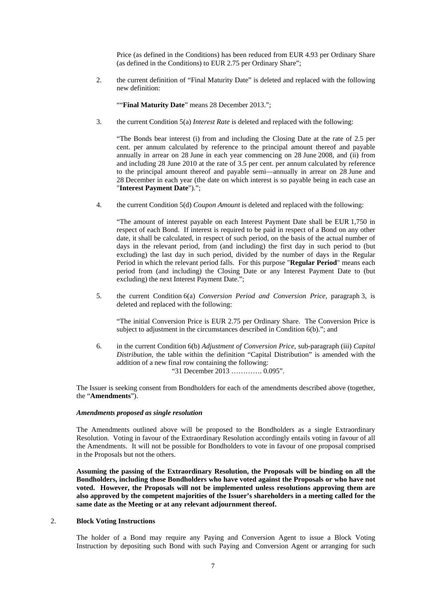Price (as defined in the Conditions) has been reduced from EUR 4.93 per Ordinary Share (as defined in the Conditions) to EUR 2.75 per Ordinary Share";

2. the current definition of "Final Maturity Date" is deleted and replaced with the following new definition:

""**Final Maturity Date**" means 28 December 2013.";

3. the current Condition 5(a) *Interest Rate* is deleted and replaced with the following:

"The Bonds bear interest (i) from and including the Closing Date at the rate of 2.5 per cent. per annum calculated by reference to the principal amount thereof and payable annually in arrear on 28 June in each year commencing on 28 June 2008, and (ii) from and including 28 June 2010 at the rate of 3.5 per cent. per annum calculated by reference to the principal amount thereof and payable semi—annually in arrear on 28 June and 28 December in each year (the date on which interest is so payable being in each case an "**Interest Payment Date**").";

4. the current Condition 5(d) *Coupon Amount* is deleted and replaced with the following:

"The amount of interest payable on each Interest Payment Date shall be EUR 1,750 in respect of each Bond. If interest is required to be paid in respect of a Bond on any other date, it shall be calculated, in respect of such period, on the basis of the actual number of days in the relevant period, from (and including) the first day in such period to (but excluding) the last day in such period, divided by the number of days in the Regular Period in which the relevant period falls. For this purpose "**Regular Period**" means each period from (and including) the Closing Date or any Interest Payment Date to (but excluding) the next Interest Payment Date.";

5. the current Condition 6(a) *Conversion Period and Conversion Price*, paragraph 3, is deleted and replaced with the following:

"The initial Conversion Price is EUR 2.75 per Ordinary Share. The Conversion Price is subject to adjustment in the circumstances described in Condition 6(b)."; and

6. in the current Condition 6(b) *Adjustment of Conversion Price*, sub-paragraph (iii) *Capital Distribution*, the table within the definition "Capital Distribution" is amended with the addition of a new final row containing the following: "31 December 2013 …………. 0.095".

The Issuer is seeking consent from Bondholders for each of the amendments described above (together, the "**Amendments**").

### *Amendments proposed as single resolution*

The Amendments outlined above will be proposed to the Bondholders as a single Extraordinary Resolution. Voting in favour of the Extraordinary Resolution accordingly entails voting in favour of all the Amendments. It will not be possible for Bondholders to vote in favour of one proposal comprised in the Proposals but not the others.

**Assuming the passing of the Extraordinary Resolution, the Proposals will be binding on all the Bondholders, including those Bondholders who have voted against the Proposals or who have not voted. However, the Proposals will not be implemented unless resolutions approving them are also approved by the competent majorities of the Issuer's shareholders in a meeting called for the same date as the Meeting or at any relevant adjournment thereof.** 

#### 2. **Block Voting Instructions**

The holder of a Bond may require any Paying and Conversion Agent to issue a Block Voting Instruction by depositing such Bond with such Paying and Conversion Agent or arranging for such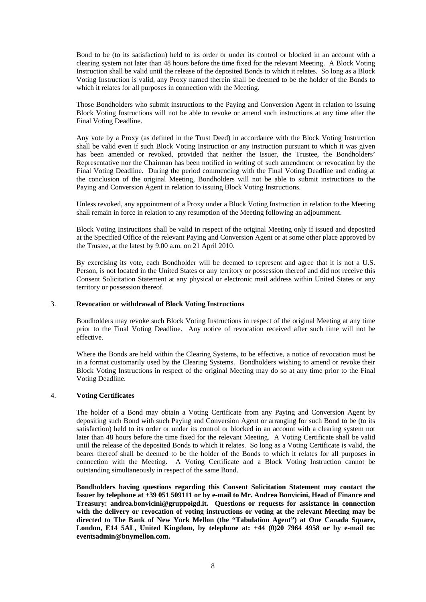Bond to be (to its satisfaction) held to its order or under its control or blocked in an account with a clearing system not later than 48 hours before the time fixed for the relevant Meeting. A Block Voting Instruction shall be valid until the release of the deposited Bonds to which it relates. So long as a Block Voting Instruction is valid, any Proxy named therein shall be deemed to be the holder of the Bonds to which it relates for all purposes in connection with the Meeting.

Those Bondholders who submit instructions to the Paying and Conversion Agent in relation to issuing Block Voting Instructions will not be able to revoke or amend such instructions at any time after the Final Voting Deadline.

Any vote by a Proxy (as defined in the Trust Deed) in accordance with the Block Voting Instruction shall be valid even if such Block Voting Instruction or any instruction pursuant to which it was given has been amended or revoked, provided that neither the Issuer, the Trustee, the Bondholders' Representative nor the Chairman has been notified in writing of such amendment or revocation by the Final Voting Deadline. During the period commencing with the Final Voting Deadline and ending at the conclusion of the original Meeting, Bondholders will not be able to submit instructions to the Paying and Conversion Agent in relation to issuing Block Voting Instructions.

Unless revoked, any appointment of a Proxy under a Block Voting Instruction in relation to the Meeting shall remain in force in relation to any resumption of the Meeting following an adjournment.

Block Voting Instructions shall be valid in respect of the original Meeting only if issued and deposited at the Specified Office of the relevant Paying and Conversion Agent or at some other place approved by the Trustee, at the latest by 9.00 a.m. on 21 April 2010.

By exercising its vote, each Bondholder will be deemed to represent and agree that it is not a U.S. Person, is not located in the United States or any territory or possession thereof and did not receive this Consent Solicitation Statement at any physical or electronic mail address within United States or any territory or possession thereof.

#### 3. **Revocation or withdrawal of Block Voting Instructions**

Bondholders may revoke such Block Voting Instructions in respect of the original Meeting at any time prior to the Final Voting Deadline. Any notice of revocation received after such time will not be effective.

Where the Bonds are held within the Clearing Systems, to be effective, a notice of revocation must be in a format customarily used by the Clearing Systems. Bondholders wishing to amend or revoke their Block Voting Instructions in respect of the original Meeting may do so at any time prior to the Final Voting Deadline.

## 4. **Voting Certificates**

The holder of a Bond may obtain a Voting Certificate from any Paying and Conversion Agent by depositing such Bond with such Paying and Conversion Agent or arranging for such Bond to be (to its satisfaction) held to its order or under its control or blocked in an account with a clearing system not later than 48 hours before the time fixed for the relevant Meeting. A Voting Certificate shall be valid until the release of the deposited Bonds to which it relates. So long as a Voting Certificate is valid, the bearer thereof shall be deemed to be the holder of the Bonds to which it relates for all purposes in connection with the Meeting. A Voting Certificate and a Block Voting Instruction cannot be outstanding simultaneously in respect of the same Bond.

**Bondholders having questions regarding this Consent Solicitation Statement may contact the Issuer by telephone at +39 051 509111 or by e-mail to Mr. Andrea Bonvicini, Head of Finance and Treasury: andrea.bonvicini@gruppoigd.it. Questions or requests for assistance in connection with the delivery or revocation of voting instructions or voting at the relevant Meeting may be directed to The Bank of New York Mellon (the "Tabulation Agent") at One Canada Square, London, E14 5AL, United Kingdom, by telephone at: +44 (0)20 7964 4958 or by e-mail to: eventsadmin@bnymellon.com.**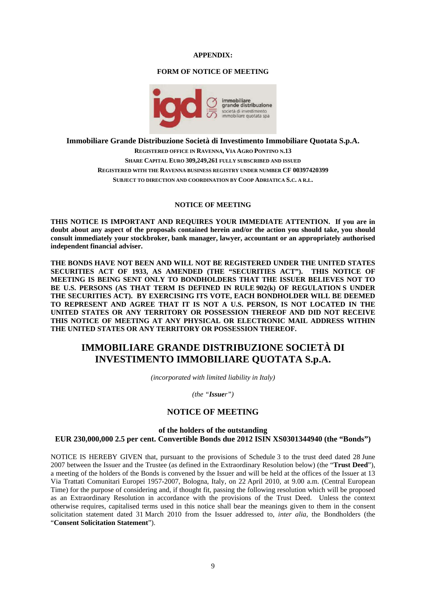#### **APPENDIX:**

#### **FORM OF NOTICE OF MEETING**



**Immobiliare Grande Distribuzione Società di Investimento Immobiliare Quotata S.p.A. REGISTERED OFFICE IN RAVENNA, VIA AGRO PONTINO N.13 SHARE CAPITAL EURO 309,249,261 FULLY SUBSCRIBED AND ISSUED REGISTERED WITH THE RAVENNA BUSINESS REGISTRY UNDER NUMBER CF 00397420399 SUBJECT TO DIRECTION AND COORDINATION BY COOP ADRIATICA S.C. A R.L.**

#### **NOTICE OF MEETING**

**THIS NOTICE IS IMPORTANT AND REQUIRES YOUR IMMEDIATE ATTENTION. If you are in doubt about any aspect of the proposals contained herein and/or the action you should take, you should consult immediately your stockbroker, bank manager, lawyer, accountant or an appropriately authorised independent financial adviser.** 

**THE BONDS HAVE NOT BEEN AND WILL NOT BE REGISTERED UNDER THE UNITED STATES SECURITIES ACT OF 1933, AS AMENDED (THE "SECURITIES ACT"). THIS NOTICE OF MEETING IS BEING SENT ONLY TO BONDHOLDERS THAT THE ISSUER BELIEVES NOT TO BE U.S. PERSONS (AS THAT TERM IS DEFINED IN RULE 902(k) OF REGULATION S UNDER THE SECURITIES ACT). BY EXERCISING ITS VOTE, EACH BONDHOLDER WILL BE DEEMED TO REPRESENT AND AGREE THAT IT IS NOT A U.S. PERSON, IS NOT LOCATED IN THE UNITED STATES OR ANY TERRITORY OR POSSESSION THEREOF AND DID NOT RECEIVE THIS NOTICE OF MEETING AT ANY PHYSICAL OR ELECTRONIC MAIL ADDRESS WITHIN THE UNITED STATES OR ANY TERRITORY OR POSSESSION THEREOF.** 

# **IMMOBILIARE GRANDE DISTRIBUZIONE SOCIETÀ DI INVESTIMENTO IMMOBILIARE QUOTATA S.p.A.**

*(incorporated with limited liability in Italy)* 

*(the "Issuer")* 

# **NOTICE OF MEETING**

# **of the holders of the outstanding EUR 230,000,000 2.5 per cent. Convertible Bonds due 2012 ISIN XS0301344940 (the "Bonds")**

NOTICE IS HEREBY GIVEN that, pursuant to the provisions of Schedule 3 to the trust deed dated 28 June 2007 between the Issuer and the Trustee (as defined in the Extraordinary Resolution below) (the "**Trust Deed**"), a meeting of the holders of the Bonds is convened by the Issuer and will be held at the offices of the Issuer at 13 Via Trattati Comunitari Europei 1957-2007, Bologna, Italy, on 22 April 2010, at 9.00 a.m. (Central European Time) for the purpose of considering and, if thought fit, passing the following resolution which will be proposed as an Extraordinary Resolution in accordance with the provisions of the Trust Deed. Unless the context otherwise requires, capitalised terms used in this notice shall bear the meanings given to them in the consent solicitation statement dated 31 March 2010 from the Issuer addressed to, *inter alia*, the Bondholders (the "**Consent Solicitation Statement**").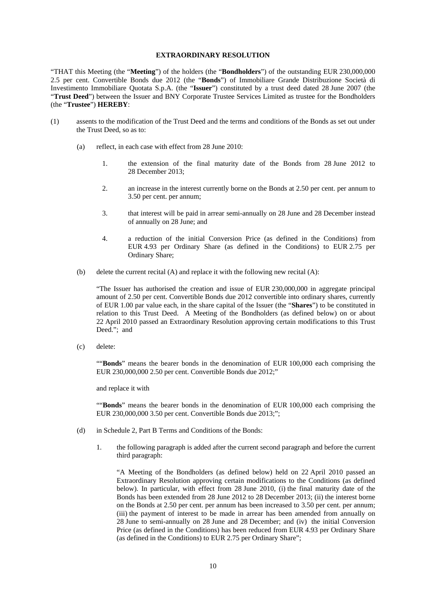#### **EXTRAORDINARY RESOLUTION**

"THAT this Meeting (the "**Meeting**") of the holders (the "**Bondholders**") of the outstanding EUR 230,000,000 2.5 per cent. Convertible Bonds due 2012 (the "**Bonds**") of Immobiliare Grande Distribuzione Società di Investimento Immobiliare Quotata S.p.A. (the "**Issuer**") constituted by a trust deed dated 28 June 2007 (the "**Trust Deed**") between the Issuer and BNY Corporate Trustee Services Limited as trustee for the Bondholders (the "**Trustee**") **HEREBY**:

- (1) assents to the modification of the Trust Deed and the terms and conditions of the Bonds as set out under the Trust Deed, so as to:
	- (a) reflect, in each case with effect from 28 June 2010:
		- 1. the extension of the final maturity date of the Bonds from 28 June 2012 to 28 December 2013;
		- 2. an increase in the interest currently borne on the Bonds at 2.50 per cent. per annum to 3.50 per cent. per annum;
		- 3. that interest will be paid in arrear semi-annually on 28 June and 28 December instead of annually on 28 June; and
		- 4. a reduction of the initial Conversion Price (as defined in the Conditions) from EUR 4.93 per Ordinary Share (as defined in the Conditions) to EUR 2.75 per Ordinary Share;
	- (b) delete the current recital (A) and replace it with the following new recital (A):

"The Issuer has authorised the creation and issue of EUR 230,000,000 in aggregate principal amount of 2.50 per cent. Convertible Bonds due 2012 convertible into ordinary shares, currently of EUR 1.00 par value each, in the share capital of the Issuer (the "**Shares**") to be constituted in relation to this Trust Deed. A Meeting of the Bondholders (as defined below) on or about 22 April 2010 passed an Extraordinary Resolution approving certain modifications to this Trust Deed."; and

(c) delete:

""**Bonds**" means the bearer bonds in the denomination of EUR 100,000 each comprising the EUR 230,000,000 2.50 per cent. Convertible Bonds due 2012;"

and replace it with

""**Bonds**" means the bearer bonds in the denomination of EUR 100,000 each comprising the EUR 230,000,000 3.50 per cent. Convertible Bonds due 2013;";

- (d) in Schedule 2, Part B Terms and Conditions of the Bonds:
	- 1. the following paragraph is added after the current second paragraph and before the current third paragraph:

"A Meeting of the Bondholders (as defined below) held on 22 April 2010 passed an Extraordinary Resolution approving certain modifications to the Conditions (as defined below). In particular, with effect from 28 June 2010, (i) the final maturity date of the Bonds has been extended from 28 June 2012 to 28 December 2013; (ii) the interest borne on the Bonds at 2.50 per cent. per annum has been increased to 3.50 per cent. per annum; (iii) the payment of interest to be made in arrear has been amended from annually on 28 June to semi-annually on 28 June and 28 December; and (iv) the initial Conversion Price (as defined in the Conditions) has been reduced from EUR 4.93 per Ordinary Share (as defined in the Conditions) to EUR 2.75 per Ordinary Share";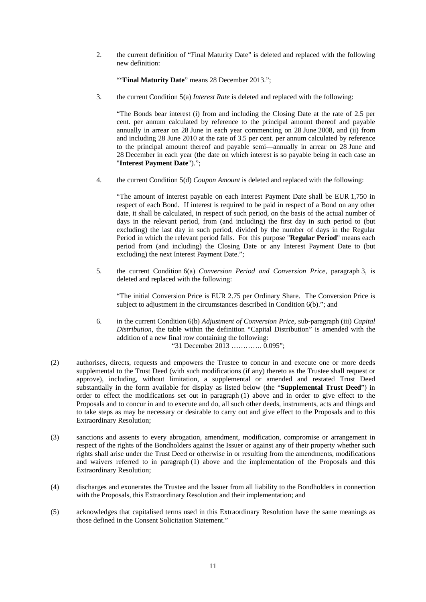2. the current definition of "Final Maturity Date" is deleted and replaced with the following new definition:

""**Final Maturity Date**" means 28 December 2013.";

3. the current Condition 5(a) *Interest Rate* is deleted and replaced with the following:

"The Bonds bear interest (i) from and including the Closing Date at the rate of 2.5 per cent. per annum calculated by reference to the principal amount thereof and payable annually in arrear on 28 June in each year commencing on 28 June 2008, and (ii) from and including 28 June 2010 at the rate of 3.5 per cent. per annum calculated by reference to the principal amount thereof and payable semi—annually in arrear on 28 June and 28 December in each year (the date on which interest is so payable being in each case an "**Interest Payment Date**").";

4. the current Condition 5(d) *Coupon Amount* is deleted and replaced with the following:

"The amount of interest payable on each Interest Payment Date shall be EUR 1,750 in respect of each Bond. If interest is required to be paid in respect of a Bond on any other date, it shall be calculated, in respect of such period, on the basis of the actual number of days in the relevant period, from (and including) the first day in such period to (but excluding) the last day in such period, divided by the number of days in the Regular Period in which the relevant period falls. For this purpose "**Regular Period**" means each period from (and including) the Closing Date or any Interest Payment Date to (but excluding) the next Interest Payment Date.";

5. the current Condition 6(a) *Conversion Period and Conversion Price*, paragraph 3, is deleted and replaced with the following:

"The initial Conversion Price is EUR 2.75 per Ordinary Share. The Conversion Price is subject to adjustment in the circumstances described in Condition 6(b)."; and

- 6. in the current Condition 6(b) *Adjustment of Conversion Price*, sub-paragraph (iii) *Capital Distribution*, the table within the definition "Capital Distribution" is amended with the addition of a new final row containing the following: "31 December 2013 …………. 0.095";
- (2) authorises, directs, requests and empowers the Trustee to concur in and execute one or more deeds supplemental to the Trust Deed (with such modifications (if any) thereto as the Trustee shall request or approve), including, without limitation, a supplemental or amended and restated Trust Deed substantially in the form available for display as listed below (the "**Supplemental Trust Deed**") in order to effect the modifications set out in paragraph (1) above and in order to give effect to the Proposals and to concur in and to execute and do, all such other deeds, instruments, acts and things and to take steps as may be necessary or desirable to carry out and give effect to the Proposals and to this Extraordinary Resolution;
- (3) sanctions and assents to every abrogation, amendment, modification, compromise or arrangement in respect of the rights of the Bondholders against the Issuer or against any of their property whether such rights shall arise under the Trust Deed or otherwise in or resulting from the amendments, modifications and waivers referred to in paragraph (1) above and the implementation of the Proposals and this Extraordinary Resolution;
- (4) discharges and exonerates the Trustee and the Issuer from all liability to the Bondholders in connection with the Proposals, this Extraordinary Resolution and their implementation; and
- (5) acknowledges that capitalised terms used in this Extraordinary Resolution have the same meanings as those defined in the Consent Solicitation Statement."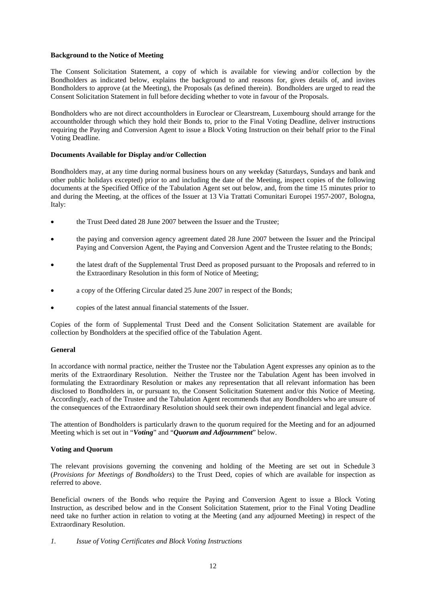### **Background to the Notice of Meeting**

The Consent Solicitation Statement, a copy of which is available for viewing and/or collection by the Bondholders as indicated below, explains the background to and reasons for, gives details of, and invites Bondholders to approve (at the Meeting), the Proposals (as defined therein). Bondholders are urged to read the Consent Solicitation Statement in full before deciding whether to vote in favour of the Proposals.

Bondholders who are not direct accountholders in Euroclear or Clearstream, Luxembourg should arrange for the accountholder through which they hold their Bonds to, prior to the Final Voting Deadline, deliver instructions requiring the Paying and Conversion Agent to issue a Block Voting Instruction on their behalf prior to the Final Voting Deadline.

## **Documents Available for Display and/or Collection**

Bondholders may, at any time during normal business hours on any weekday (Saturdays, Sundays and bank and other public holidays excepted) prior to and including the date of the Meeting, inspect copies of the following documents at the Specified Office of the Tabulation Agent set out below, and, from the time 15 minutes prior to and during the Meeting, at the offices of the Issuer at 13 Via Trattati Comunitari Europei 1957-2007, Bologna, Italy:

- the Trust Deed dated 28 June 2007 between the Issuer and the Trustee;
- the paying and conversion agency agreement dated 28 June 2007 between the Issuer and the Principal Paying and Conversion Agent, the Paying and Conversion Agent and the Trustee relating to the Bonds;
- the latest draft of the Supplemental Trust Deed as proposed pursuant to the Proposals and referred to in the Extraordinary Resolution in this form of Notice of Meeting;
- a copy of the Offering Circular dated 25 June 2007 in respect of the Bonds;
- copies of the latest annual financial statements of the Issuer.

Copies of the form of Supplemental Trust Deed and the Consent Solicitation Statement are available for collection by Bondholders at the specified office of the Tabulation Agent.

## **General**

In accordance with normal practice, neither the Trustee nor the Tabulation Agent expresses any opinion as to the merits of the Extraordinary Resolution. Neither the Trustee nor the Tabulation Agent has been involved in formulating the Extraordinary Resolution or makes any representation that all relevant information has been disclosed to Bondholders in, or pursuant to, the Consent Solicitation Statement and/or this Notice of Meeting. Accordingly, each of the Trustee and the Tabulation Agent recommends that any Bondholders who are unsure of the consequences of the Extraordinary Resolution should seek their own independent financial and legal advice.

The attention of Bondholders is particularly drawn to the quorum required for the Meeting and for an adjourned Meeting which is set out in "*Voting*" and "*Quorum and Adjournment*" below.

## **Voting and Quorum**

The relevant provisions governing the convening and holding of the Meeting are set out in Schedule 3 (*Provisions for Meetings of Bondholders*) to the Trust Deed, copies of which are available for inspection as referred to above.

Beneficial owners of the Bonds who require the Paying and Conversion Agent to issue a Block Voting Instruction, as described below and in the Consent Solicitation Statement, prior to the Final Voting Deadline need take no further action in relation to voting at the Meeting (and any adjourned Meeting) in respect of the Extraordinary Resolution.

#### *1. Issue of Voting Certificates and Block Voting Instructions*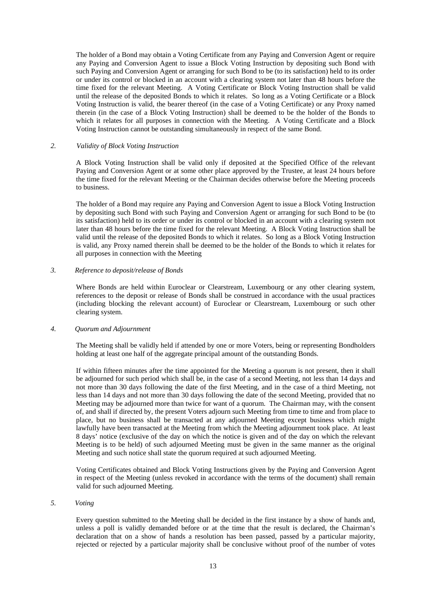The holder of a Bond may obtain a Voting Certificate from any Paying and Conversion Agent or require any Paying and Conversion Agent to issue a Block Voting Instruction by depositing such Bond with such Paying and Conversion Agent or arranging for such Bond to be (to its satisfaction) held to its order or under its control or blocked in an account with a clearing system not later than 48 hours before the time fixed for the relevant Meeting. A Voting Certificate or Block Voting Instruction shall be valid until the release of the deposited Bonds to which it relates. So long as a Voting Certificate or a Block Voting Instruction is valid, the bearer thereof (in the case of a Voting Certificate) or any Proxy named therein (in the case of a Block Voting Instruction) shall be deemed to be the holder of the Bonds to which it relates for all purposes in connection with the Meeting. A Voting Certificate and a Block Voting Instruction cannot be outstanding simultaneously in respect of the same Bond.

# *2. Validity of Block Voting Instruction*

A Block Voting Instruction shall be valid only if deposited at the Specified Office of the relevant Paying and Conversion Agent or at some other place approved by the Trustee, at least 24 hours before the time fixed for the relevant Meeting or the Chairman decides otherwise before the Meeting proceeds to business.

The holder of a Bond may require any Paying and Conversion Agent to issue a Block Voting Instruction by depositing such Bond with such Paying and Conversion Agent or arranging for such Bond to be (to its satisfaction) held to its order or under its control or blocked in an account with a clearing system not later than 48 hours before the time fixed for the relevant Meeting. A Block Voting Instruction shall be valid until the release of the deposited Bonds to which it relates. So long as a Block Voting Instruction is valid, any Proxy named therein shall be deemed to be the holder of the Bonds to which it relates for all purposes in connection with the Meeting

## *3. Reference to deposit/release of Bonds*

Where Bonds are held within Euroclear or Clearstream, Luxembourg or any other clearing system, references to the deposit or release of Bonds shall be construed in accordance with the usual practices (including blocking the relevant account) of Euroclear or Clearstream, Luxembourg or such other clearing system.

#### *4. Quorum and Adjournment*

The Meeting shall be validly held if attended by one or more Voters, being or representing Bondholders holding at least one half of the aggregate principal amount of the outstanding Bonds.

If within fifteen minutes after the time appointed for the Meeting a quorum is not present, then it shall be adjourned for such period which shall be, in the case of a second Meeting, not less than 14 days and not more than 30 days following the date of the first Meeting, and in the case of a third Meeting, not less than 14 days and not more than 30 days following the date of the second Meeting, provided that no Meeting may be adjourned more than twice for want of a quorum. The Chairman may, with the consent of, and shall if directed by, the present Voters adjourn such Meeting from time to time and from place to place, but no business shall be transacted at any adjourned Meeting except business which might lawfully have been transacted at the Meeting from which the Meeting adjournment took place. At least 8 days' notice (exclusive of the day on which the notice is given and of the day on which the relevant Meeting is to be held) of such adjourned Meeting must be given in the same manner as the original Meeting and such notice shall state the quorum required at such adjourned Meeting.

Voting Certificates obtained and Block Voting Instructions given by the Paying and Conversion Agent in respect of the Meeting (unless revoked in accordance with the terms of the document) shall remain valid for such adjourned Meeting.

#### *5. Voting*

Every question submitted to the Meeting shall be decided in the first instance by a show of hands and, unless a poll is validly demanded before or at the time that the result is declared, the Chairman's declaration that on a show of hands a resolution has been passed, passed by a particular majority, rejected or rejected by a particular majority shall be conclusive without proof of the number of votes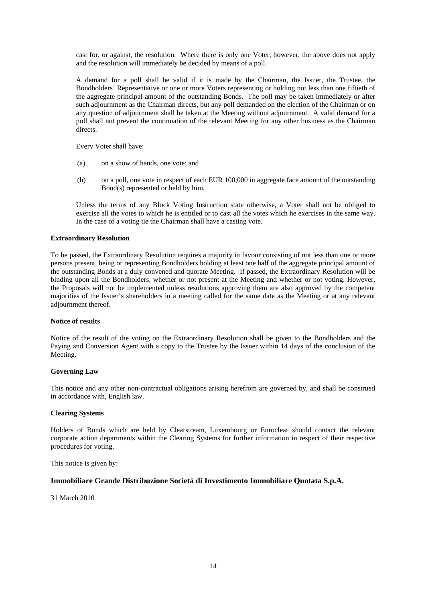cast for, or against, the resolution. Where there is only one Voter, however, the above does not apply and the resolution will immediately be decided by means of a poll.

A demand for a poll shall be valid if it is made by the Chairman, the Issuer, the Trustee, the Bondholders' Representative or one or more Voters representing or holding not less than one fiftieth of the aggregate principal amount of the outstanding Bonds. The poll may be taken immediately or after such adjournment as the Chairman directs, but any poll demanded on the election of the Chairman or on any question of adjournment shall be taken at the Meeting without adjournment. A valid demand for a poll shall not prevent the continuation of the relevant Meeting for any other business as the Chairman directs.

Every Voter shall have:

- (a) on a show of hands, one vote; and
- (b) on a poll, one vote in respect of each EUR 100,000 in aggregate face amount of the outstanding Bond(s) represented or held by him.

Unless the terms of any Block Voting Instruction state otherwise, a Voter shall not be obliged to exercise all the votes to which he is entitled or to cast all the votes which he exercises in the same way. In the case of a voting tie the Chairman shall have a casting vote.

#### **Extraordinary Resolution**

To be passed, the Extraordinary Resolution requires a majority in favour consisting of not less than one or more persons present, being or representing Bondholders holding at least one half of the aggregate principal amount of the outstanding Bonds at a duly convened and quorate Meeting. If passed, the Extraordinary Resolution will be binding upon all the Bondholders, whether or not present at the Meeting and whether or not voting. However, the Proposals will not be implemented unless resolutions approving them are also approved by the competent majorities of the Issuer's shareholders in a meeting called for the same date as the Meeting or at any relevant adjournment thereof.

### **Notice of results**

Notice of the result of the voting on the Extraordinary Resolution shall be given to the Bondholders and the Paying and Conversion Agent with a copy to the Trustee by the Issuer within 14 days of the conclusion of the Meeting.

#### **Governing Law**

This notice and any other non-contractual obligations arising herefrom are governed by, and shall be construed in accordance with, English law.

#### **Clearing Systems**

Holders of Bonds which are held by Clearstream, Luxembourg or Euroclear should contact the relevant corporate action departments within the Clearing Systems for further information in respect of their respective procedures for voting.

This notice is given by:

## **Immobiliare Grande Distribuzione Società di Investimento Immobiliare Quotata S.p.A.**

31 March 2010